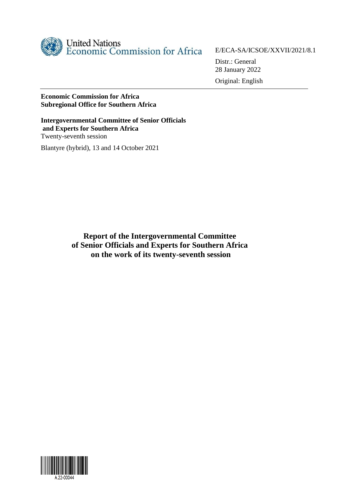

E/ECA-SA/ICSOE/XXVII/2021/8.1

Distr.: General 28 January 2022

Original: English

### **Economic Commission for Africa Subregional Office for Southern Africa**

**Intergovernmental Committee of Senior Officials and Experts for Southern Africa** Twenty-seventh session Blantyre (hybrid), 13 and 14 October 2021

> **Report of the Intergovernmental Committee of Senior Officials and Experts for Southern Africa on the work of its twenty-seventh session**

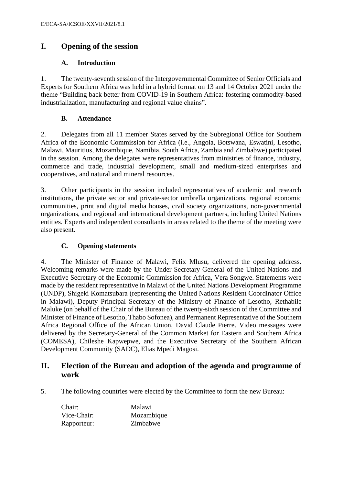### **I. Opening of the session**

#### **A. Introduction**

1. The twenty-seventh session of the Intergovernmental Committee of Senior Officials and Experts for Southern Africa was held in a hybrid format on 13 and 14 October 2021 under the theme "Building back better from COVID-19 in Southern Africa: fostering commodity-based industrialization, manufacturing and regional value chains".

#### **B. Attendance**

2. Delegates from all 11 member States served by the Subregional Office for Southern Africa of the Economic Commission for Africa (i.e., Angola, Botswana, Eswatini, Lesotho, Malawi, Mauritius, Mozambique, Namibia, South Africa, Zambia and Zimbabwe) participated in the session. Among the delegates were representatives from ministries of finance, industry, commerce and trade, industrial development, small and medium-sized enterprises and cooperatives, and natural and mineral resources.

3. Other participants in the session included representatives of academic and research institutions, the private sector and private-sector umbrella organizations, regional economic communities, print and digital media houses, civil society organizations, non-governmental organizations, and regional and international development partners, including United Nations entities. Experts and independent consultants in areas related to the theme of the meeting were also present.

### **C. Opening statements**

4. The Minister of Finance of Malawi, Felix Mlusu, delivered the opening address. Welcoming remarks were made by the Under-Secretary-General of the United Nations and Executive Secretary of the Economic Commission for Africa, Vera Songwe. Statements were made by the resident representative in Malawi of the United Nations Development Programme (UNDP), Shigeki Komatsubara (representing the United Nations Resident Coordinator Office in Malawi), Deputy Principal Secretary of the Ministry of Finance of Lesotho, Rethabile Maluke (on behalf of the Chair of the Bureau of the twenty-sixth session of the Committee and Minister of Finance of Lesotho, Thabo Sofonea), and Permanent Representative of the Southern Africa Regional Office of the African Union, David Claude Pierre. Video messages were delivered by the Secretary-General of the Common Market for Eastern and Southern Africa (COMESA), Chileshe Kapwepwe, and the Executive Secretary of the Southern African Development Community (SADC), Elias Mpedi Magosi.

### **II. Election of the Bureau and adoption of the agenda and programme of work**

5. The following countries were elected by the Committee to form the new Bureau:

Chair: Malawi Vice-Chair: Mozambique Rapporteur: Zimbabwe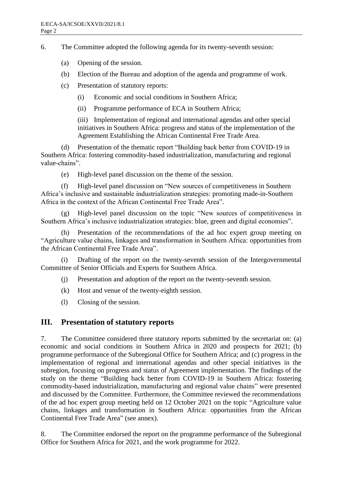6. The Committee adopted the following agenda for its twenty-seventh session:

- (a) Opening of the session.
- (b) Election of the Bureau and adoption of the agenda and programme of work.
- (c) Presentation of statutory reports:
	- (i) Economic and social conditions in Southern Africa;
	- (ii) Programme performance of ECA in Southern Africa;

(iii) Implementation of regional and international agendas and other special initiatives in Southern Africa: progress and status of the implementation of the Agreement Establishing the African Continental Free Trade Area.

(d) Presentation of the thematic report "Building back better from COVID-19 in Southern Africa: fostering commodity-based industrialization, manufacturing and regional value-chains".

(e) High-level panel discussion on the theme of the session.

(f) High-level panel discussion on "New sources of competitiveness in Southern Africa's inclusive and sustainable industrialization strategies: promoting made-in-Southern Africa in the context of the African Continental Free Trade Area".

(g) High-level panel discussion on the topic "New sources of competitiveness in Southern Africa's inclusive industrialization strategies: blue, green and digital economies".

Presentation of the recommendations of the ad hoc expert group meeting on "Agriculture value chains, linkages and transformation in Southern Africa: opportunities from the African Continental Free Trade Area".

(i) Drafting of the report on the twenty-seventh session of the Intergovernmental Committee of Senior Officials and Experts for Southern Africa.

- (j) Presentation and adoption of the report on the twenty-seventh session.
- (k) Host and venue of the twenty-eighth session.
- (l) Closing of the session.

### **III. Presentation of statutory reports**

7. The Committee considered three statutory reports submitted by the secretariat on: (a) economic and social conditions in Southern Africa in 2020 and prospects for 2021; (b) programme performance of the Subregional Office for Southern Africa; and (c) progress in the implementation of regional and international agendas and other special initiatives in the subregion, focusing on progress and status of Agreement implementation. The findings of the study on the theme "Building back better from COVID-19 in Southern Africa: fostering commodity-based industrialization, manufacturing and regional value chains" were presented and discussed by the Committee. Furthermore, the Committee reviewed the recommendations of the ad hoc expert group meeting held on 12 October 2021 on the topic "Agriculture value chains, linkages and transformation in Southern Africa: opportunities from the African Continental Free Trade Area" (see annex).

8. The Committee endorsed the report on the programme performance of the Subregional Office for Southern Africa for 2021, and the work programme for 2022.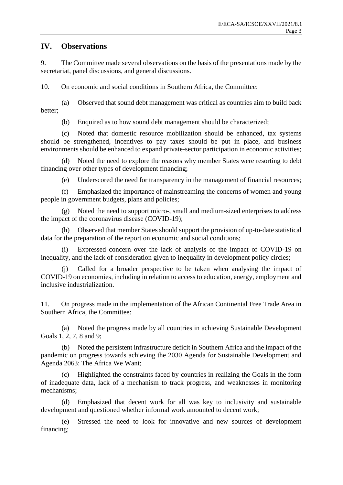## **IV. Observations**

9. The Committee made several observations on the basis of the presentations made by the secretariat, panel discussions, and general discussions.

10. On economic and social conditions in Southern Africa, the Committee:

(a) Observed that sound debt management was critical as countries aim to build back better;

(b) Enquired as to how sound debt management should be characterized;

(c) Noted that domestic resource mobilization should be enhanced, tax systems should be strengthened, incentives to pay taxes should be put in place, and business environments should be enhanced to expand private-sector participation in economic activities;

(d) Noted the need to explore the reasons why member States were resorting to debt financing over other types of development financing;

(e) Underscored the need for transparency in the management of financial resources;

(f) Emphasized the importance of mainstreaming the concerns of women and young people in government budgets, plans and policies;

(g) Noted the need to support micro-, small and medium-sized enterprises to address the impact of the coronavirus disease (COVID-19);

(h) Observed that member States should support the provision of up-to-date statistical data for the preparation of the report on economic and social conditions;

(i) Expressed concern over the lack of analysis of the impact of COVID-19 on inequality, and the lack of consideration given to inequality in development policy circles;

Called for a broader perspective to be taken when analysing the impact of COVID-19 on economies, including in relation to access to education, energy, employment and inclusive industrialization.

11. On progress made in the implementation of the African Continental Free Trade Area in Southern Africa, the Committee:

(a) Noted the progress made by all countries in achieving Sustainable Development Goals 1, 2, 7, 8 and 9;

Noted the persistent infrastructure deficit in Southern Africa and the impact of the pandemic on progress towards achieving the 2030 Agenda for Sustainable Development and Agenda 2063: The Africa We Want;

Highlighted the constraints faced by countries in realizing the Goals in the form of inadequate data, lack of a mechanism to track progress, and weaknesses in monitoring mechanisms;

(d) Emphasized that decent work for all was key to inclusivity and sustainable development and questioned whether informal work amounted to decent work;

(e) Stressed the need to look for innovative and new sources of development financing;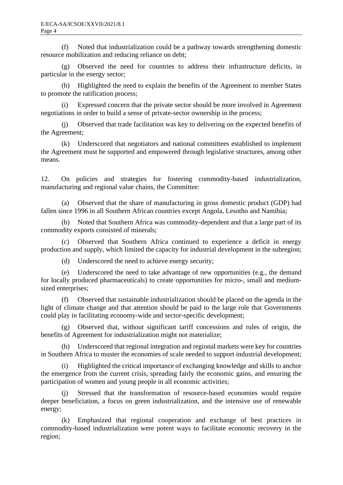(f) Noted that industrialization could be a pathway towards strengthening domestic resource mobilization and reducing reliance on debt;

(g) Observed the need for countries to address their infrastructure deficits, in particular in the energy sector;

(h) Highlighted the need to explain the benefits of the Agreement to member States to promote the ratification process;

(i) Expressed concern that the private sector should be more involved in Agreement negotiations in order to build a sense of private-sector ownership in the process;

(j) Observed that trade facilitation was key to delivering on the expected benefits of the Agreement;

(k) Underscored that negotiators and national committees established to implement the Agreement must be supported and empowered through legislative structures, among other means.

12. On policies and strategies for fostering commodity-based industrialization, manufacturing and regional value chains, the Committee:

(a) Observed that the share of manufacturing in gross domestic product (GDP) had fallen since 1996 in all Southern African countries except Angola, Lesotho and Namibia;

(b) Noted that Southern Africa was commodity-dependent and that a large part of its commodity exports consisted of minerals;

(c) Observed that Southern Africa continued to experience a deficit in energy production and supply, which limited the capacity for industrial development in the subregion;

(d) Underscored the need to achieve energy security;

(e) Underscored the need to take advantage of new opportunities (e.g., the demand for locally produced pharmaceuticals) to create opportunities for micro-, small and mediumsized enterprises;

(f) Observed that sustainable industrialization should be placed on the agenda in the light of climate change and that attention should be paid to the large role that Governments could play in facilitating economy-wide and sector-specific development;

(g) Observed that, without significant tariff concessions and rules of origin, the benefits of Agreement for industrialization might not materialize;

(h) Underscored that regional integration and regional markets were key for countries in Southern Africa to muster the economies of scale needed to support industrial development;

(i) Highlighted the critical importance of exchanging knowledge and skills to anchor the emergence from the current crisis, spreading fairly the economic gains, and ensuring the participation of women and young people in all economic activities;

Stressed that the transformation of resource-based economies would require deeper beneficiation, a focus on green industrialization, and the intensive use of renewable energy;

(k) Emphasized that regional cooperation and exchange of best practices in commodity-based industrialization were potent ways to facilitate economic recovery in the region;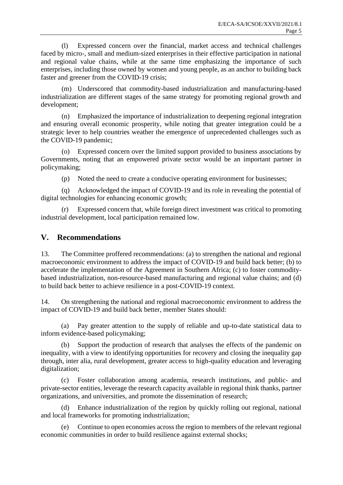(l) Expressed concern over the financial, market access and technical challenges faced by micro-, small and medium-sized enterprises in their effective participation in national and regional value chains, while at the same time emphasizing the importance of such enterprises, including those owned by women and young people, as an anchor to building back faster and greener from the COVID-19 crisis;

(m) Underscored that commodity-based industrialization and manufacturing-based industrialization are different stages of the same strategy for promoting regional growth and development;

(n) Emphasized the importance of industrialization to deepening regional integration and ensuring overall economic prosperity, while noting that greater integration could be a strategic lever to help countries weather the emergence of unprecedented challenges such as the COVID-19 pandemic;

(o) Expressed concern over the limited support provided to business associations by Governments, noting that an empowered private sector would be an important partner in policymaking;

(p) Noted the need to create a conducive operating environment for businesses;

(q) Acknowledged the impact of COVID-19 and its role in revealing the potential of digital technologies for enhancing economic growth;

(r) Expressed concern that, while foreign direct investment was critical to promoting industrial development, local participation remained low.

### **V. Recommendations**

13. The Committee proffered recommendations: (a) to strengthen the national and regional macroeconomic environment to address the impact of COVID-19 and build back better; (b) to accelerate the implementation of the Agreement in Southern Africa; (c) to foster commoditybased industrialization, non-resource-based manufacturing and regional value chains; and (d) to build back better to achieve resilience in a post-COVID-19 context.

14. On strengthening the national and regional macroeconomic environment to address the impact of COVID-19 and build back better, member States should:

(a) Pay greater attention to the supply of reliable and up-to-date statistical data to inform evidence-based policymaking;

(b) Support the production of research that analyses the effects of the pandemic on inequality, with a view to identifying opportunities for recovery and closing the inequality gap through, inter alia, rural development, greater access to high-quality education and leveraging digitalization;

(c) Foster collaboration among academia, research institutions, and public- and private-sector entities, leverage the research capacity available in regional think thanks, partner organizations, and universities, and promote the dissemination of research;

(d) Enhance industrialization of the region by quickly rolling out regional, national and local frameworks for promoting industrialization;

(e) Continue to open economies across the region to members of the relevant regional economic communities in order to build resilience against external shocks;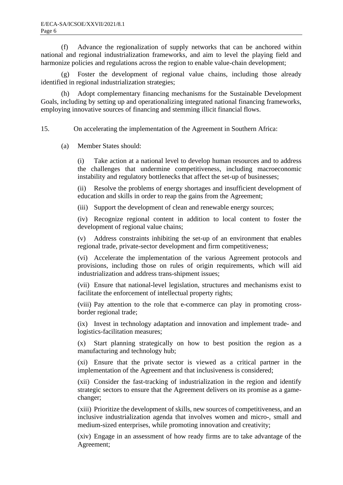(f) Advance the regionalization of supply networks that can be anchored within national and regional industrialization frameworks, and aim to level the playing field and harmonize policies and regulations across the region to enable value-chain development;

(g) Foster the development of regional value chains, including those already identified in regional industrialization strategies;

(h) Adopt complementary financing mechanisms for the Sustainable Development Goals, including by setting up and operationalizing integrated national financing frameworks, employing innovative sources of financing and stemming illicit financial flows.

15. On accelerating the implementation of the Agreement in Southern Africa:

(a) Member States should:

(i) Take action at a national level to develop human resources and to address the challenges that undermine competitiveness, including macroeconomic instability and regulatory bottlenecks that affect the set-up of businesses;

(ii) Resolve the problems of energy shortages and insufficient development of education and skills in order to reap the gains from the Agreement;

(iii) Support the development of clean and renewable energy sources;

(iv) Recognize regional content in addition to local content to foster the development of regional value chains;

(v) Address constraints inhibiting the set-up of an environment that enables regional trade, private-sector development and firm competitiveness;

(vi) Accelerate the implementation of the various Agreement protocols and provisions, including those on rules of origin requirements, which will aid industrialization and address trans-shipment issues;

(vii) Ensure that national-level legislation, structures and mechanisms exist to facilitate the enforcement of intellectual property rights;

(viii) Pay attention to the role that e-commerce can play in promoting crossborder regional trade;

(ix) Invest in technology adaptation and innovation and implement trade- and logistics-facilitation measures;

(x) Start planning strategically on how to best position the region as a manufacturing and technology hub;

(xi) Ensure that the private sector is viewed as a critical partner in the implementation of the Agreement and that inclusiveness is considered;

(xii) Consider the fast-tracking of industrialization in the region and identify strategic sectors to ensure that the Agreement delivers on its promise as a gamechanger;

(xiii) Prioritize the development of skills, new sources of competitiveness, and an inclusive industrialization agenda that involves women and micro-, small and medium-sized enterprises, while promoting innovation and creativity;

(xiv) Engage in an assessment of how ready firms are to take advantage of the Agreement;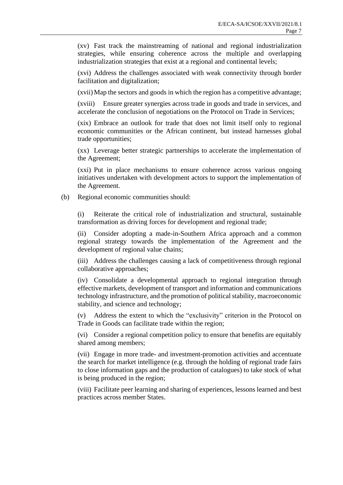(xv) Fast track the mainstreaming of national and regional industrialization strategies, while ensuring coherence across the multiple and overlapping industrialization strategies that exist at a regional and continental levels;

(xvi) Address the challenges associated with weak connectivity through border facilitation and digitalization;

(xvii)Map the sectors and goods in which the region has a competitive advantage;

(xviii) Ensure greater synergies across trade in goods and trade in services, and accelerate the conclusion of negotiations on the Protocol on Trade in Services;

(xix) Embrace an outlook for trade that does not limit itself only to regional economic communities or the African continent, but instead harnesses global trade opportunities;

(xx) Leverage better strategic partnerships to accelerate the implementation of the Agreement;

(xxi) Put in place mechanisms to ensure coherence across various ongoing initiatives undertaken with development actors to support the implementation of the Agreement.

(b) Regional economic communities should:

(i) Reiterate the critical role of industrialization and structural, sustainable transformation as driving forces for development and regional trade;

(ii) Consider adopting a made-in-Southern Africa approach and a common regional strategy towards the implementation of the Agreement and the development of regional value chains;

(iii) Address the challenges causing a lack of competitiveness through regional collaborative approaches;

(iv) Consolidate a developmental approach to regional integration through effective markets, development of transport and information and communications technology infrastructure, and the promotion of political stability, macroeconomic stability, and science and technology;

(v) Address the extent to which the "exclusivity" criterion in the Protocol on Trade in Goods can facilitate trade within the region;

(vi) Consider a regional competition policy to ensure that benefits are equitably shared among members;

(vii) Engage in more trade- and investment-promotion activities and accentuate the search for market intelligence (e.g. through the holding of regional trade fairs to close information gaps and the production of catalogues) to take stock of what is being produced in the region;

(viii) Facilitate peer learning and sharing of experiences, lessons learned and best practices across member States.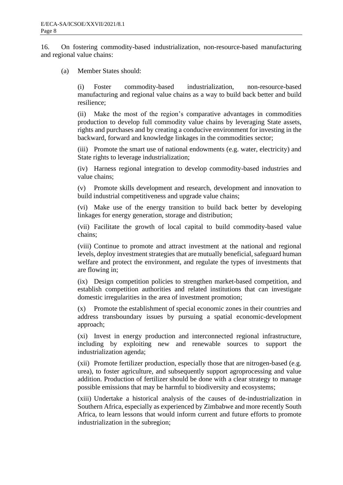16. On fostering commodity-based industrialization, non-resource-based manufacturing and regional value chains:

(a) Member States should:

(i) Foster commodity-based industrialization, non-resource-based manufacturing and regional value chains as a way to build back better and build resilience;

(ii) Make the most of the region's comparative advantages in commodities production to develop full commodity value chains by leveraging State assets, rights and purchases and by creating a conducive environment for investing in the backward, forward and knowledge linkages in the commodities sector;

(iii) Promote the smart use of national endowments (e.g. water, electricity) and State rights to leverage industrialization;

(iv) Harness regional integration to develop commodity-based industries and value chains;

(v) Promote skills development and research, development and innovation to build industrial competitiveness and upgrade value chains;

(vi) Make use of the energy transition to build back better by developing linkages for energy generation, storage and distribution;

(vii) Facilitate the growth of local capital to build commodity-based value chains;

(viii) Continue to promote and attract investment at the national and regional levels, deploy investment strategies that are mutually beneficial, safeguard human welfare and protect the environment, and regulate the types of investments that are flowing in;

(ix) Design competition policies to strengthen market-based competition, and establish competition authorities and related institutions that can investigate domestic irregularities in the area of investment promotion;

(x) Promote the establishment of special economic zones in their countries and address transboundary issues by pursuing a spatial economic-development approach;

(xi) Invest in energy production and interconnected regional infrastructure, including by exploiting new and renewable sources to support the industrialization agenda;

(xii) Promote fertilizer production, especially those that are nitrogen-based (e.g. urea), to foster agriculture, and subsequently support agroprocessing and value addition. Production of fertilizer should be done with a clear strategy to manage possible emissions that may be harmful to biodiversity and ecosystems;

(xiii) Undertake a historical analysis of the causes of de-industrialization in Southern Africa, especially as experienced by Zimbabwe and more recently South Africa, to learn lessons that would inform current and future efforts to promote industrialization in the subregion;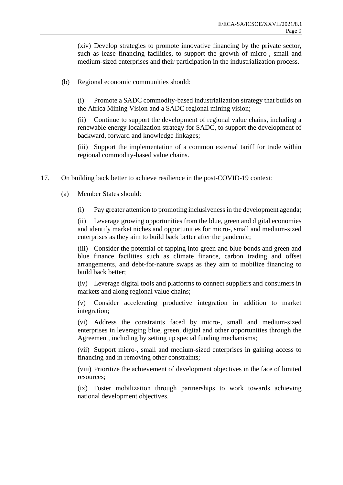(xiv) Develop strategies to promote innovative financing by the private sector, such as lease financing facilities, to support the growth of micro-, small and medium-sized enterprises and their participation in the industrialization process.

(b) Regional economic communities should:

(i) Promote a SADC commodity-based industrialization strategy that builds on the Africa Mining Vision and a SADC regional mining vision;

(ii) Continue to support the development of regional value chains, including a renewable energy localization strategy for SADC, to support the development of backward, forward and knowledge linkages;

(iii) Support the implementation of a common external tariff for trade within regional commodity-based value chains.

- 17. On building back better to achieve resilience in the post-COVID-19 context:
	- (a) Member States should:
		- (i) Pay greater attention to promoting inclusiveness in the development agenda;

(ii) Leverage growing opportunities from the blue, green and digital economies and identify market niches and opportunities for micro-, small and medium-sized enterprises as they aim to build back better after the pandemic;

(iii) Consider the potential of tapping into green and blue bonds and green and blue finance facilities such as climate finance, carbon trading and offset arrangements, and debt-for-nature swaps as they aim to mobilize financing to build back better;

(iv) Leverage digital tools and platforms to connect suppliers and consumers in markets and along regional value chains;

(v) Consider accelerating productive integration in addition to market integration;

(vi) Address the constraints faced by micro-, small and medium-sized enterprises in leveraging blue, green, digital and other opportunities through the Agreement, including by setting up special funding mechanisms;

(vii) Support micro-, small and medium-sized enterprises in gaining access to financing and in removing other constraints;

(viii) Prioritize the achievement of development objectives in the face of limited resources;

(ix) Foster mobilization through partnerships to work towards achieving national development objectives.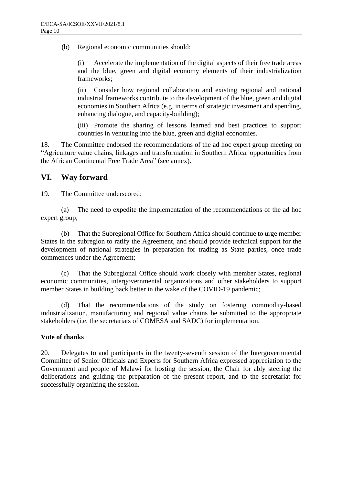(b) Regional economic communities should:

(i) Accelerate the implementation of the digital aspects of their free trade areas and the blue, green and digital economy elements of their industrialization frameworks;

(ii) Consider how regional collaboration and existing regional and national industrial frameworks contribute to the development of the blue, green and digital economies in Southern Africa (e.g. in terms of strategic investment and spending, enhancing dialogue, and capacity-building);

(iii) Promote the sharing of lessons learned and best practices to support countries in venturing into the blue, green and digital economies.

18. The Committee endorsed the recommendations of the ad hoc expert group meeting on "Agriculture value chains, linkages and transformation in Southern Africa: opportunities from the African Continental Free Trade Area" (see annex).

### **VI. Way forward**

19. The Committee underscored:

(a) The need to expedite the implementation of the recommendations of the ad hoc expert group;

(b) That the Subregional Office for Southern Africa should continue to urge member States in the subregion to ratify the Agreement, and should provide technical support for the development of national strategies in preparation for trading as State parties, once trade commences under the Agreement;

(c) That the Subregional Office should work closely with member States, regional economic communities, intergovernmental organizations and other stakeholders to support member States in building back better in the wake of the COVID-19 pandemic;

(d) That the recommendations of the study on fostering commodity-based industrialization, manufacturing and regional value chains be submitted to the appropriate stakeholders (i.e. the secretariats of COMESA and SADC) for implementation.

### **Vote of thanks**

20. Delegates to and participants in the twenty-seventh session of the Intergovernmental Committee of Senior Officials and Experts for Southern Africa expressed appreciation to the Government and people of Malawi for hosting the session, the Chair for ably steering the deliberations and guiding the preparation of the present report, and to the secretariat for successfully organizing the session.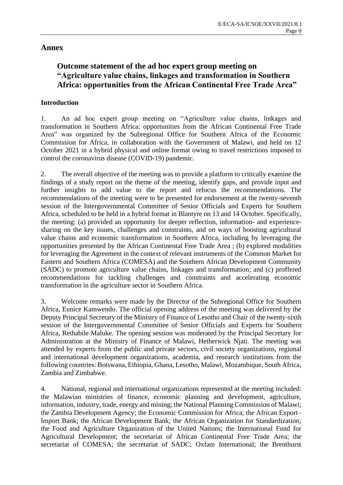### **Annex**

# **Outcome statement of the ad hoc expert group meeting on "Agriculture value chains, linkages and transformation in Southern Africa: opportunities from the African Continental Free Trade Area"**

### **Introduction**

1. An ad hoc expert group meeting on "Agriculture value chains, linkages and transformation in Southern Africa: opportunities from the African Continental Free Trade Area" was organized by the Subregional Office for Southern Africa of the Economic Commission for Africa, in collaboration with the Government of Malawi, and held on 12 October 2021 in a hybrid physical and online format owing to travel restrictions imposed to control the coronavirus disease (COVID-19) pandemic.

2. The overall objective of the meeting was to provide a platform to critically examine the findings of a study report on the theme of the meeting, identify gaps, and provide input and further insights to add value to the report and refocus the recommendations. The recommendations of the meeting were to be presented for endorsement at the twenty-seventh session of the Intergovernmental Committee of Senior Officials and Experts for Southern Africa, scheduled to be held in a hybrid format in Blantyre on 13 and 14 October. Specifically, the meeting: (a) provided an opportunity for deeper reflection, information- and experiencesharing on the key issues, challenges and constraints, and on ways of boosting agricultural value chains and economic transformation in Southern Africa, including by leveraging the opportunities presented by the African Continental Free Trade Area ; (b) explored modalities for leveraging the Agreement in the context of relevant instruments of the Common Market for Eastern and Southern Africa (COMESA) and the Southern African Development Community (SADC) to promote agriculture value chains, linkages and transformation; and (c) proffered recommendations for tackling challenges and constraints and accelerating economic transformation in the agriculture sector in Southern Africa.

3. Welcome remarks were made by the Director of the Subregional Office for Southern Africa, Eunice Kamwendo. The official opening address of the meeting was delivered by the Deputy Principal Secretary of the Ministry of Finance of Lesotho and Chair of the twenty-sixth session of the Intergovernmental Committee of Senior Officials and Experts for Southern Africa, Rethabile Maluke. The opening session was moderated by the Principal Secretary for Administration at the Ministry of Finance of Malawi, Hetherwick Njati. The meeting was attended by experts from the public and private sectors, civil society organizations, regional and international development organizations, academia, and research institutions from the following countries: Botswana, Ethiopia, Ghana, Lesotho, Malawi, Mozambique, South Africa, Zambia and Zimbabwe.

4. National, regional and international organizations represented at the meeting included: the Malawian ministries of finance, economic planning and development, agriculture, information, industry, trade, energy and mining; the National Planning Commission of Malawi; the Zambia Development Agency; the Economic Commission for Africa; the African Export– Import Bank; the African Development Bank; the African Organization for Standardization; the Food and Agriculture Organization of the United Nations; the International Fund for Agricultural Development; the secretariat of African Continental Free Trade Area; the secretariat of COMESA; the secretariat of SADC; Oxfam International; the Brenthurst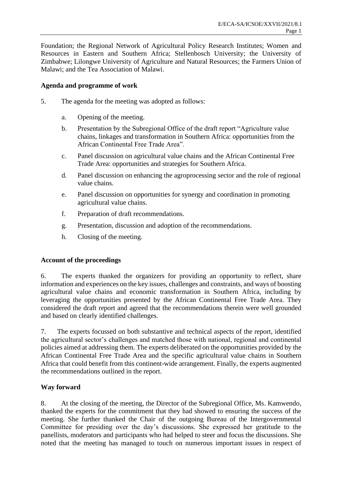Foundation; the Regional Network of Agricultural Policy Research Institutes; Women and Resources in Eastern and Southern Africa; Stellenbosch University; the University of Zimbabwe; Lilongwe University of Agriculture and Natural Resources; the Farmers Union of Malawi; and the Tea Association of Malawi.

#### **Agenda and programme of work**

- 5. The agenda for the meeting was adopted as follows:
	- a. Opening of the meeting.
	- b. Presentation by the Subregional Office of the draft report "Agriculture value chains, linkages and transformation in Southern Africa: opportunities from the African Continental Free Trade Area".
	- c. Panel discussion on agricultural value chains and the African Continental Free Trade Area: opportunities and strategies for Southern Africa.
	- d. Panel discussion on enhancing the agroprocessing sector and the role of regional value chains.
	- e. Panel discussion on opportunities for synergy and coordination in promoting agricultural value chains.
	- f. Preparation of draft recommendations.
	- g. Presentation, discussion and adoption of the recommendations.
	- h. Closing of the meeting.

### **Account of the proceedings**

6. The experts thanked the organizers for providing an opportunity to reflect, share information and experiences on the key issues, challenges and constraints, and ways of boosting agricultural value chains and economic transformation in Southern Africa, including by leveraging the opportunities presented by the African Continental Free Trade Area. They considered the draft report and agreed that the recommendations therein were well grounded and based on clearly identified challenges.

7. The experts focussed on both substantive and technical aspects of the report, identified the agricultural sector's challenges and matched those with national, regional and continental policies aimed at addressing them. The experts deliberated on the opportunities provided by the African Continental Free Trade Area and the specific agricultural value chains in Southern Africa that could benefit from this continent-wide arrangement. Finally, the experts augmented the recommendations outlined in the report.

#### **Way forward**

8. At the closing of the meeting, the Director of the Subregional Office, Ms. Kamwendo, thanked the experts for the commitment that they had showed to ensuring the success of the meeting. She further thanked the Chair of the outgoing Bureau of the Intergovernmental Committee for presiding over the day's discussions. She expressed her gratitude to the panellists, moderators and participants who had helped to steer and focus the discussions. She noted that the meeting has managed to touch on numerous important issues in respect of